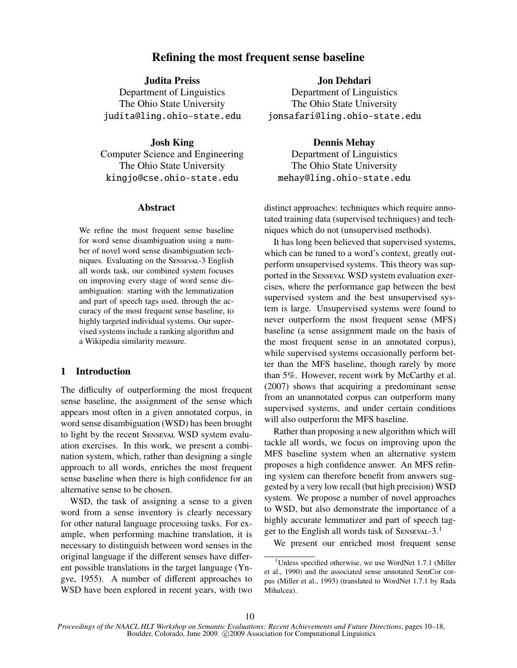# Refining the most frequent sense baseline

Judita Preiss

Department of Linguistics The Ohio State University judita@ling.ohio-state.edu

### Josh King

Computer Science and Engineering The Ohio State University kingjo@cse.ohio-state.edu

## Abstract

We refine the most frequent sense baseline for word sense disambiguation using a number of novel word sense disambiguation techniques. Evaluating on the SENSEVAL-3 English all words task, our combined system focuses on improving every stage of word sense disambiguation: starting with the lemmatization and part of speech tags used, through the accuracy of the most frequent sense baseline, to highly targeted individual systems. Our supervised systems include a ranking algorithm and a Wikipedia similarity measure.

## 1 Introduction

The difficulty of outperforming the most frequent sense baseline, the assignment of the sense which appears most often in a given annotated corpus, in word sense disambiguation (WSD) has been brought to light by the recent SENSEVAL WSD system evaluation exercises. In this work, we present a combination system, which, rather than designing a single approach to all words, enriches the most frequent sense baseline when there is high confidence for an alternative sense to be chosen.

WSD, the task of assigning a sense to a given word from a sense inventory is clearly necessary for other natural language processing tasks. For example, when performing machine translation, it is necessary to distinguish between word senses in the original language if the different senses have different possible translations in the target language (Yngve, 1955). A number of different approaches to WSD have been explored in recent years, with two Jon Dehdari

Department of Linguistics The Ohio State University jonsafari@ling.ohio-state.edu

Dennis Mehay Department of Linguistics The Ohio State University mehay@ling.ohio-state.edu

distinct approaches: techniques which require annotated training data (supervised techniques) and techniques which do not (unsupervised methods).

It has long been believed that supervised systems, which can be tuned to a word's context, greatly outperform unsupervised systems. This theory was supported in the SENSEVAL WSD system evaluation exercises, where the performance gap between the best supervised system and the best unsupervised system is large. Unsupervised systems were found to never outperform the most frequent sense (MFS) baseline (a sense assignment made on the basis of the most frequent sense in an annotated corpus), while supervised systems occasionally perform better than the MFS baseline, though rarely by more than 5%. However, recent work by McCarthy et al. (2007) shows that acquiring a predominant sense from an unannotated corpus can outperform many supervised systems, and under certain conditions will also outperform the MFS baseline.

Rather than proposing a new algorithm which will tackle all words, we focus on improving upon the MFS baseline system when an alternative system proposes a high confidence answer. An MFS refining system can therefore benefit from answers suggested by a very low recall (but high precision) WSD system. We propose a number of novel approaches to WSD, but also demonstrate the importance of a highly accurate lemmatizer and part of speech tagger to the English all words task of SENSEVAL-3.<sup>1</sup>

We present our enriched most frequent sense

<sup>&</sup>lt;sup>1</sup>Unless specified otherwise, we use WordNet 1.7.1 (Miller et al., 1990) and the associated sense annotated SemCor corpus (Miller et al., 1993) (translated to WordNet 1.7.1 by Rada Mihalcea).

*Proceedings of the NAACL HLT Workshop on Semantic Evaluations: Recent Achievements and Future Directions*, pages 10–18, Boulder, Colorado, June 2009. C 2009 Association for Computational Linguistics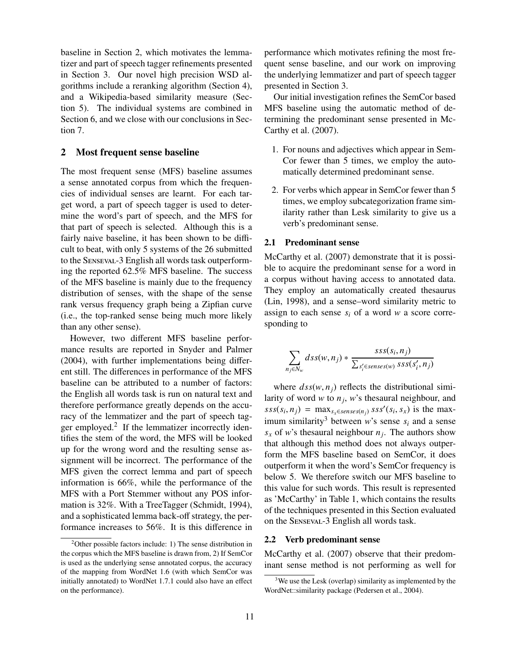baseline in Section 2, which motivates the lemmatizer and part of speech tagger refinements presented in Section 3. Our novel high precision WSD algorithms include a reranking algorithm (Section 4), and a Wikipedia-based similarity measure (Section 5). The individual systems are combined in Section 6, and we close with our conclusions in Section 7.

## 2 Most frequent sense baseline

The most frequent sense (MFS) baseline assumes a sense annotated corpus from which the frequencies of individual senses are learnt. For each target word, a part of speech tagger is used to determine the word's part of speech, and the MFS for that part of speech is selected. Although this is a fairly naive baseline, it has been shown to be difficult to beat, with only 5 systems of the 26 submitted to the SENSEVAL-3 English all words task outperforming the reported 62.5% MFS baseline. The success of the MFS baseline is mainly due to the frequency distribution of senses, with the shape of the sense rank versus frequency graph being a Zipfian curve (i.e., the top-ranked sense being much more likely than any other sense).

However, two different MFS baseline performance results are reported in Snyder and Palmer (2004), with further implementations being different still. The differences in performance of the MFS baseline can be attributed to a number of factors: the English all words task is run on natural text and therefore performance greatly depends on the accuracy of the lemmatizer and the part of speech tagger employed.<sup>2</sup> If the lemmatizer incorrectly identifies the stem of the word, the MFS will be looked up for the wrong word and the resulting sense assignment will be incorrect. The performance of the MFS given the correct lemma and part of speech information is 66%, while the performance of the MFS with a Port Stemmer without any POS information is 32%. With a TreeTagger (Schmidt, 1994), and a sophisticated lemma back-off strategy, the performance increases to 56%. It is this difference in

performance which motivates refining the most frequent sense baseline, and our work on improving the underlying lemmatizer and part of speech tagger presented in Section 3.

Our initial investigation refines the SemCor based MFS baseline using the automatic method of determining the predominant sense presented in Mc-Carthy et al. (2007).

- 1. For nouns and adjectives which appear in Sem-Cor fewer than 5 times, we employ the automatically determined predominant sense.
- 2. For verbs which appear in SemCor fewer than 5 times, we employ subcategorization frame similarity rather than Lesk similarity to give us a verb's predominant sense.

#### 2.1 Predominant sense

McCarthy et al. (2007) demonstrate that it is possible to acquire the predominant sense for a word in a corpus without having access to annotated data. They employ an automatically created thesaurus (Lin, 1998), and a sense–word similarity metric to assign to each sense *s<sup>i</sup>* of a word *w* a score corresponding to

$$
\sum_{n_j \in N_w} ds s(w, n_j) * \frac{ss s(s_i, n_j)}{\sum_{s'_i \in senses(w)} sss (s'_i, n_j)}
$$

where  $dss(w, n<sub>i</sub>)$  reflects the distributional similarity of word *w* to *n<sup>j</sup>* , *w*'s thesaural neighbour, and  $sss(s_i, n_j) = \max_{s_x \in senses(n_j)} sss'(s_i, s_x)$  is the max-<br>imum cimilarity<sup>3</sup> hotucon *v*<sup>2</sup>c songs, s and a songs imum similarity<sup>3</sup> between *w*'s sense  $s_i$  and a sense  $s_x$  of *w*'s thesaural neighbour  $n_j$ . The authors show that although this method does not always outperform the MFS baseline based on SemCor, it does outperform it when the word's SemCor frequency is below 5. We therefore switch our MFS baseline to this value for such words. This result is represented as 'McCarthy' in Table 1, which contains the results of the techniques presented in this Section evaluated on the SENSEVAL-3 English all words task.

#### 2.2 Verb predominant sense

McCarthy et al. (2007) observe that their predominant sense method is not performing as well for

 $2$ Other possible factors include: 1) The sense distribution in the corpus which the MFS baseline is drawn from, 2) If SemCor is used as the underlying sense annotated corpus, the accuracy of the mapping from WordNet 1.6 (with which SemCor was initially annotated) to WordNet 1.7.1 could also have an effect on the performance).

<sup>&</sup>lt;sup>3</sup>We use the Lesk (overlap) similarity as implemented by the WordNet::similarity package (Pedersen et al., 2004).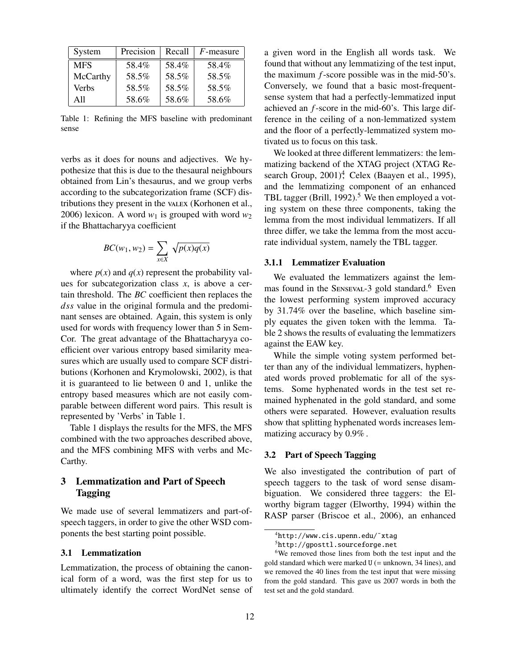| System     | Precision | Recall | $F$ -measure |
|------------|-----------|--------|--------------|
| <b>MFS</b> | 58.4%     | 58.4%  | 58.4%        |
| McCarthy   | 58.5%     | 58.5%  | 58.5%        |
| Verbs      | 58.5%     | 58.5%  | 58.5%        |
| A11        | 58.6%     | 58.6%  | 58.6%        |

Table 1: Refining the MFS baseline with predominant sense

verbs as it does for nouns and adjectives. We hypothesize that this is due to the thesaural neighbours obtained from Lin's thesaurus, and we group verbs according to the subcategorization frame (SCF) distributions they present in the value (Korhonen et al., 2006) lexicon. A word  $w_1$  is grouped with word  $w_2$ if the Bhattacharyya coefficient

$$
BC(w_1, w_2) = \sum_{x \in X} \sqrt{p(x)q(x)}
$$

where  $p(x)$  and  $q(x)$  represent the probability values for subcategorization class *x*, is above a certain threshold. The *BC* coefficient then replaces the *dss* value in the original formula and the predominant senses are obtained. Again, this system is only used for words with frequency lower than 5 in Sem-Cor. The great advantage of the Bhattacharyya coefficient over various entropy based similarity measures which are usually used to compare SCF distributions (Korhonen and Krymolowski, 2002), is that it is guaranteed to lie between 0 and 1, unlike the entropy based measures which are not easily comparable between different word pairs. This result is represented by 'Verbs' in Table 1.

Table 1 displays the results for the MFS, the MFS combined with the two approaches described above, and the MFS combining MFS with verbs and Mc-Carthy.

# 3 Lemmatization and Part of Speech Tagging

We made use of several lemmatizers and part-ofspeech taggers, in order to give the other WSD components the best starting point possible.

## 3.1 Lemmatization

Lemmatization, the process of obtaining the canonical form of a word, was the first step for us to ultimately identify the correct WordNet sense of a given word in the English all words task. We found that without any lemmatizing of the test input, the maximum *f*-score possible was in the mid-50's. Conversely, we found that a basic most-frequentsense system that had a perfectly-lemmatized input achieved an *f*-score in the mid-60's. This large difference in the ceiling of a non-lemmatized system and the floor of a perfectly-lemmatized system motivated us to focus on this task.

We looked at three different lemmatizers: the lemmatizing backend of the XTAG project (XTAG Research Group, 2001)<sup>4</sup>, Celex (Baayen et al., 1995), and the lemmatizing component of an enhanced TBL tagger (Brill, 1992).<sup>5</sup> We then employed a voting system on these three components, taking the lemma from the most individual lemmatizers. If all three differ, we take the lemma from the most accurate individual system, namely the TBL tagger.

#### 3.1.1 Lemmatizer Evaluation

We evaluated the lemmatizers against the lemmas found in the SENSEVAL-3 gold standard.<sup>6</sup> Even the lowest performing system improved accuracy by 31.74% over the baseline, which baseline simply equates the given token with the lemma. Table 2 shows the results of evaluating the lemmatizers against the EAW key.

While the simple voting system performed better than any of the individual lemmatizers, hyphenated words proved problematic for all of the systems. Some hyphenated words in the test set remained hyphenated in the gold standard, and some others were separated. However, evaluation results show that splitting hyphenated words increases lemmatizing accuracy by 0.9% .

## 3.2 Part of Speech Tagging

We also investigated the contribution of part of speech taggers to the task of word sense disambiguation. We considered three taggers: the Elworthy bigram tagger (Elworthy, 1994) within the RASP parser (Briscoe et al., 2006), an enhanced

<sup>4</sup>http://www.cis.upenn.edu/˜xtag

<sup>5</sup>http://gposttl.sourceforge.net

<sup>&</sup>lt;sup>6</sup>We removed those lines from both the test input and the gold standard which were marked  $U$  (= unknown, 34 lines), and we removed the 40 lines from the test input that were missing from the gold standard. This gave us 2007 words in both the test set and the gold standard.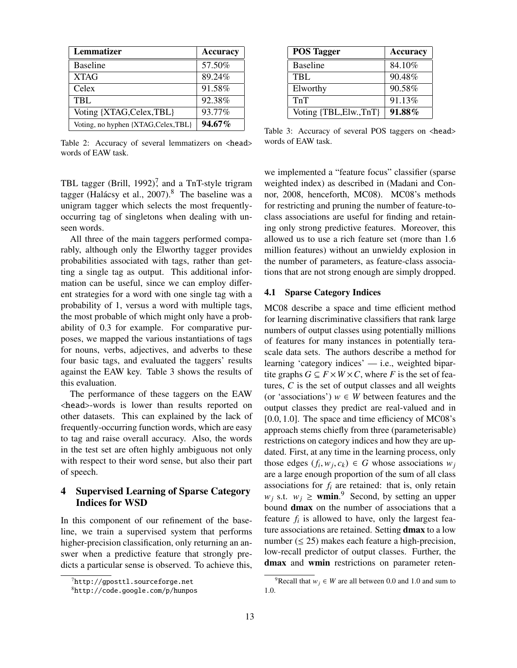| Lemmatizer                           | <b>Accuracy</b> |
|--------------------------------------|-----------------|
| <b>Baseline</b>                      | 57.50%          |
| <b>XTAG</b>                          | 89.24%          |
| Celex                                | 91.58%          |
| TBL.                                 | 92.38%          |
| Voting {XTAG, Celex, TBL}            | 93.77%          |
| Voting, no hyphen {XTAG, Celex, TBL} | 94.67%          |

Table 2: Accuracy of several lemmatizers on <head> words of EAW task.

POS Tagger Accuracy Baseline 84.10% TBL 90.48% Elworthy 90.58% TnT 91.13% Voting  $\{TBL, Elw., TnT\}$  91.88%

Table 3: Accuracy of several POS taggers on <head> words of EAW task.

TBL tagger (Brill, 1992)<sup>7</sup>, and a TnT-style trigram tagger (Halácsy et al., 2007).<sup>8</sup> The baseline was a unigram tagger which selects the most frequentlyoccurring tag of singletons when dealing with unseen words.

All three of the main taggers performed comparably, although only the Elworthy tagger provides probabilities associated with tags, rather than getting a single tag as output. This additional information can be useful, since we can employ different strategies for a word with one single tag with a probability of 1, versus a word with multiple tags, the most probable of which might only have a probability of 0.3 for example. For comparative purposes, we mapped the various instantiations of tags for nouns, verbs, adjectives, and adverbs to these four basic tags, and evaluated the taggers' results against the EAW key. Table 3 shows the results of this evaluation.

The performance of these taggers on the EAW <head>-words is lower than results reported on other datasets. This can explained by the lack of frequently-occurring function words, which are easy to tag and raise overall accuracy. Also, the words in the test set are often highly ambiguous not only with respect to their word sense, but also their part of speech.

# 4 Supervised Learning of Sparse Category Indices for WSD

In this component of our refinement of the baseline, we train a supervised system that performs higher-precision classification, only returning an answer when a predictive feature that strongly predicts a particular sense is observed. To achieve this, we implemented a "feature focus" classifier (sparse weighted index) as described in (Madani and Connor, 2008, henceforth, MC08). MC08's methods for restricting and pruning the number of feature-toclass associations are useful for finding and retaining only strong predictive features. Moreover, this allowed us to use a rich feature set (more than 1.6 million features) without an unwieldy explosion in the number of parameters, as feature-class associations that are not strong enough are simply dropped.

## 4.1 Sparse Category Indices

MC08 describe a space and time efficient method for learning discriminative classifiers that rank large numbers of output classes using potentially millions of features for many instances in potentially terascale data sets. The authors describe a method for learning 'category indices' — i.e., weighted bipartite graphs  $G \subseteq F \times W \times C$ , where *F* is the set of features, *C* is the set of output classes and all weights (or 'associations')  $w \in W$  between features and the output classes they predict are real-valued and in [0.0, <sup>1</sup>.0]. The space and time efficiency of MC08's approach stems chiefly from three (parameterisable) restrictions on category indices and how they are updated. First, at any time in the learning process, only those edges  $(f_i, w_j, c_k) \in G$  whose associations  $w_j$ <br>are a large enough proportion of the sum of all class are a large enough proportion of the sum of all class associations for  $f_i$  are retained: that is, only retain  $w_j$  s.t.  $w_j \geq$  **wmin.**<sup>9</sup> Second, by setting an upper bound dmax on the number of associations that a feature  $f_i$  is allowed to have, only the largest feature associations are retained. Setting **dmax** to a low number  $(\leq 25)$  makes each feature a high-precision, low-recall predictor of output classes. Further, the dmax and wmin restrictions on parameter reten-

 $^{7}$ http://qposttl.sourceforge.net

<sup>8</sup>http://code.google.com/p/hunpos

<sup>&</sup>lt;sup>9</sup>Recall that  $w_i \in W$  are all between 0.0 and 1.0 and sum to 1.0.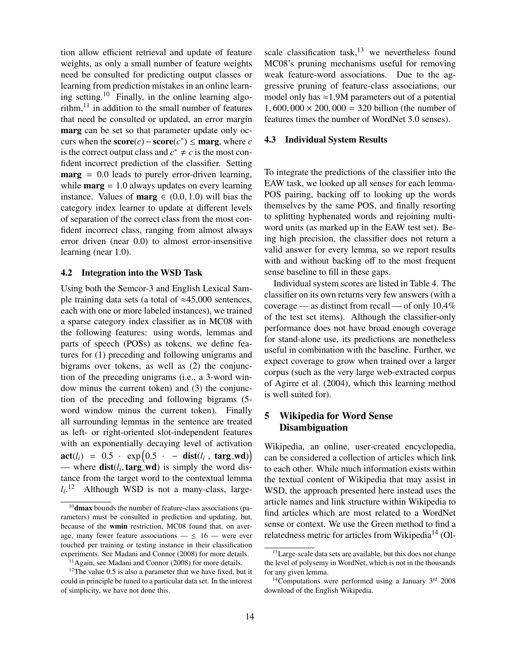tion allow efficient retrieval and update of feature weights, as only a small number of feature weights need be consulted for predicting output classes or learning from prediction mistakes in an online learning setting.<sup>10</sup> Finally, in the online learning algorithm, $^{11}$  in addition to the small number of features that need be consulted or updated, an error margin marg can be set so that parameter update only occurs when the  $score(c) - score(c^*) \leq$  marg, where *c* is the correct output class and  $c^* \neq c$  is the most confident incorrect prediction of the classifier. Setting  $\text{marg} = 0.0$  leads to purely error-driven learning, while **marg**  $= 1.0$  always updates on every learning instance. Values of **marg**  $\in (0.0, 1.0)$  will bias the category index learner to update at different levels of separation of the correct class from the most confident incorrect class, ranging from almost always error driven (near 0.0) to almost error-insensitive learning (near 1.0).

#### 4.2 Integration into the WSD Task

Using both the Semcor-3 and English Lexical Sample training data sets (a total of ≈45,000 sentences, each with one or more labeled instances), we trained a sparse category index classifier as in MC08 with the following features: using words, lemmas and parts of speech (POSs) as tokens, we define features for (1) preceding and following unigrams and bigrams over tokens, as well as (2) the conjunction of the preceding unigrams (i.e., a 3-word window minus the current token) and (3) the conjunction of the preceding and following bigrams (5 word window minus the current token). Finally all surrounding lemmas in the sentence are treated as left- or right-oriented slot-independent features with an exponentially decaying level of activation  $\textbf{act}(l_i) = 0.5 \cdot \exp(0.5 \cdot - \textbf{dist}(l_i, \textbf{targ\_wd}))$ <br>  $\text{where } \textbf{dist}(l_i \textbf{targ\_wd}) \text{ is simply the word die.}$ — where  $dist(l_i, \text{targ_wd})$  is simply the word distance from the target word to the contextual lemma. tance from the target word to the contextual lemma  $l_i$ .<sup>12</sup> Although WSD is not a many-class, largescale classification task, $13$  we nevertheless found MC08's pruning mechanisms useful for removing weak feature-word associations. Due to the aggressive pruning of feature-class associations, our model only has  $\approx$ 1.9M parameters out of a potential  $1,600,000 \times 200,000 = 320$  billion (the number of features times the number of WordNet 3.0 senses).

#### 4.3 Individual System Results

To integrate the predictions of the classifier into the EAW task, we looked up all senses for each lemma-POS pairing, backing off to looking up the words themselves by the same POS, and finally resorting to splitting hyphenated words and rejoining multiword units (as marked up in the EAW test set). Being high precision, the classifier does not return a valid answer for every lemma, so we report results with and without backing off to the most frequent sense baseline to fill in these gaps.

Individual system scores are listed in Table 4. The classifier on its own returns very few answers (with a coverage — as distinct from recall — of only 10.4% of the test set items). Although the classifier-only performance does not have broad enough coverage for stand-alone use, its predictions are nonetheless useful in combination with the baseline. Further, we expect coverage to grow when trained over a larger corpus (such as the very large web-extracted corpus of Agirre et al. (2004), which this learning method is well suited for).

## 5 Wikipedia for Word Sense Disambiguation

Wikipedia, an online, user-created encyclopedia, can be considered a collection of articles which link to each other. While much information exists within the textual content of Wikipedia that may assist in WSD, the approach presented here instead uses the article names and link structure within Wikipedia to find articles which are most related to a WordNet sense or context. We use the Green method to find a relatedness metric for articles from Wikipedia<sup>14</sup> (Ol-

 $10$  dmax bounds the number of feature-class associations (parameters) must be consulted in prediction and updating, but, because of the wmin restriction, MC08 found that, on average, many fewer feature associations  $\leq 16$  — were ever touched per training or testing instance in their classification experiments. See Madani and Connor (2008) for more details.

<sup>&</sup>lt;sup>11</sup> Again, see Madani and Connor (2008) for more details.

 $12$ The value 0.5 is also a parameter that we have fixed, but it could in principle be tuned to a particular data set. In the interest of simplicity, we have not done this.

<sup>&</sup>lt;sup>13</sup> Large-scale data sets are available, but this does not change the level of polysemy in WordNet, which is not in the thousands for any given lemma.

 $14$ Computations were performed using a January  $3<sup>rd</sup>$  2008 download of the English Wikipedia.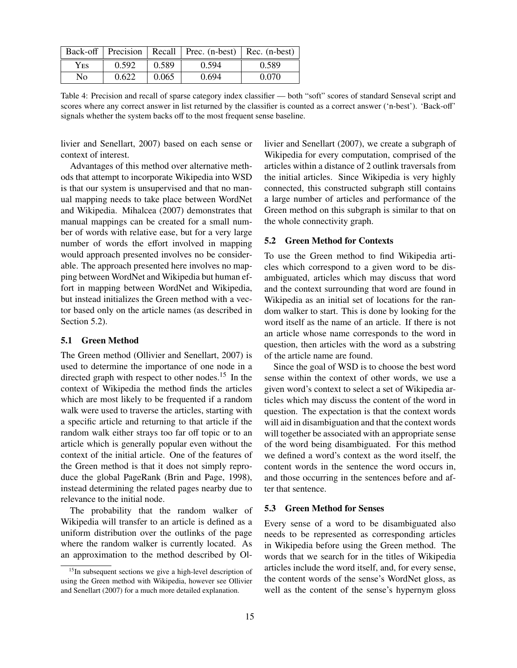|      |       |       | Back-off   Precision   Recall   Prec. (n-best)   Rec. (n-best) |       |
|------|-------|-------|----------------------------------------------------------------|-------|
| Yes. | 0.592 | 0.589 | 0.594                                                          | 0.589 |
| No.  | 0.622 | 0.065 | 0.694                                                          | 0.070 |

Table 4: Precision and recall of sparse category index classifier — both "soft" scores of standard Senseval script and scores where any correct answer in list returned by the classifier is counted as a correct answer ('n-best'). 'Back-off' signals whether the system backs off to the most frequent sense baseline.

livier and Senellart, 2007) based on each sense or context of interest.

Advantages of this method over alternative methods that attempt to incorporate Wikipedia into WSD is that our system is unsupervised and that no manual mapping needs to take place between WordNet and Wikipedia. Mihalcea (2007) demonstrates that manual mappings can be created for a small number of words with relative ease, but for a very large number of words the effort involved in mapping would approach presented involves no be considerable. The approach presented here involves no mapping between WordNet and Wikipedia but human effort in mapping between WordNet and Wikipedia, but instead initializes the Green method with a vector based only on the article names (as described in Section 5.2).

#### 5.1 Green Method

The Green method (Ollivier and Senellart, 2007) is used to determine the importance of one node in a directed graph with respect to other nodes.<sup>15</sup> In the context of Wikipedia the method finds the articles which are most likely to be frequented if a random walk were used to traverse the articles, starting with a specific article and returning to that article if the random walk either strays too far off topic or to an article which is generally popular even without the context of the initial article. One of the features of the Green method is that it does not simply reproduce the global PageRank (Brin and Page, 1998), instead determining the related pages nearby due to relevance to the initial node.

The probability that the random walker of Wikipedia will transfer to an article is defined as a uniform distribution over the outlinks of the page where the random walker is currently located. As an approximation to the method described by Ollivier and Senellart (2007), we create a subgraph of Wikipedia for every computation, comprised of the articles within a distance of 2 outlink traversals from the initial articles. Since Wikipedia is very highly connected, this constructed subgraph still contains a large number of articles and performance of the Green method on this subgraph is similar to that on the whole connectivity graph.

## 5.2 Green Method for Contexts

To use the Green method to find Wikipedia articles which correspond to a given word to be disambiguated, articles which may discuss that word and the context surrounding that word are found in Wikipedia as an initial set of locations for the random walker to start. This is done by looking for the word itself as the name of an article. If there is not an article whose name corresponds to the word in question, then articles with the word as a substring of the article name are found.

Since the goal of WSD is to choose the best word sense within the context of other words, we use a given word's context to select a set of Wikipedia articles which may discuss the content of the word in question. The expectation is that the context words will aid in disambiguation and that the context words will together be associated with an appropriate sense of the word being disambiguated. For this method we defined a word's context as the word itself, the content words in the sentence the word occurs in, and those occurring in the sentences before and after that sentence.

#### 5.3 Green Method for Senses

Every sense of a word to be disambiguated also needs to be represented as corresponding articles in Wikipedia before using the Green method. The words that we search for in the titles of Wikipedia articles include the word itself, and, for every sense, the content words of the sense's WordNet gloss, as well as the content of the sense's hypernym gloss

<sup>&</sup>lt;sup>15</sup>In subsequent sections we give a high-level description of using the Green method with Wikipedia, however see Ollivier and Senellart (2007) for a much more detailed explanation.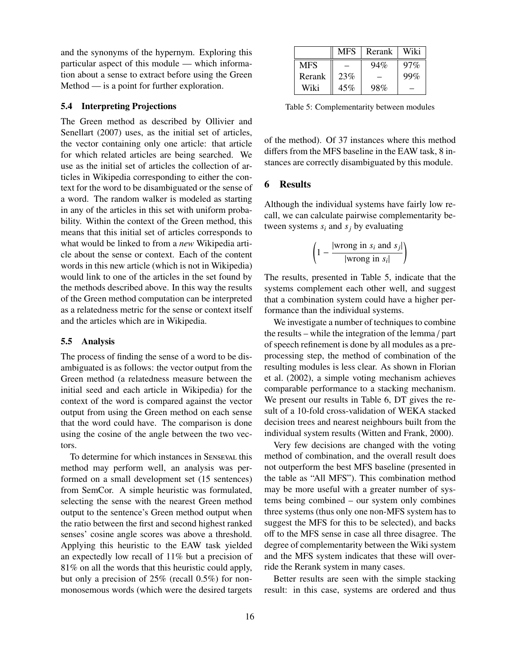and the synonyms of the hypernym. Exploring this particular aspect of this module — which information about a sense to extract before using the Green Method — is a point for further exploration.

## 5.4 Interpreting Projections

The Green method as described by Ollivier and Senellart (2007) uses, as the initial set of articles, the vector containing only one article: that article for which related articles are being searched. We use as the initial set of articles the collection of articles in Wikipedia corresponding to either the context for the word to be disambiguated or the sense of a word. The random walker is modeled as starting in any of the articles in this set with uniform probability. Within the context of the Green method, this means that this initial set of articles corresponds to what would be linked to from a *new* Wikipedia article about the sense or context. Each of the content words in this new article (which is not in Wikipedia) would link to one of the articles in the set found by the methods described above. In this way the results of the Green method computation can be interpreted as a relatedness metric for the sense or context itself and the articles which are in Wikipedia.

#### 5.5 Analysis

The process of finding the sense of a word to be disambiguated is as follows: the vector output from the Green method (a relatedness measure between the initial seed and each article in Wikipedia) for the context of the word is compared against the vector output from using the Green method on each sense that the word could have. The comparison is done using the cosine of the angle between the two vectors.

To determine for which instances in SENSEVAL this method may perform well, an analysis was performed on a small development set (15 sentences) from SemCor. A simple heuristic was formulated, selecting the sense with the nearest Green method output to the sentence's Green method output when the ratio between the first and second highest ranked senses' cosine angle scores was above a threshold. Applying this heuristic to the EAW task yielded an expectedly low recall of 11% but a precision of 81% on all the words that this heuristic could apply, but only a precision of 25% (recall 0.5%) for nonmonosemous words (which were the desired targets

|            | <b>MFS</b> | Rerank | Wiki   |
|------------|------------|--------|--------|
| <b>MFS</b> |            | 94%    | $97\%$ |
| Rerank     | 23%        |        | 99%    |
| Wiki       | 45%        | 98%    |        |

Table 5: Complementarity between modules

of the method). Of 37 instances where this method differs from the MFS baseline in the EAW task, 8 instances are correctly disambiguated by this module.

## 6 Results

Although the individual systems have fairly low recall, we can calculate pairwise complementarity between systems  $s_i$  and  $s_j$  by evaluating

$$
\left(1 - \frac{|\text{wrong in } s_i \text{ and } s_j|}{|\text{wrong in } s_i|}\right)
$$

The results, presented in Table 5, indicate that the systems complement each other well, and suggest that a combination system could have a higher performance than the individual systems.

We investigate a number of techniques to combine the results – while the integration of the lemma / part of speech refinement is done by all modules as a preprocessing step, the method of combination of the resulting modules is less clear. As shown in Florian et al. (2002), a simple voting mechanism achieves comparable performance to a stacking mechanism. We present our results in Table 6, DT gives the result of a 10-fold cross-validation of WEKA stacked decision trees and nearest neighbours built from the individual system results (Witten and Frank, 2000).

Very few decisions are changed with the voting method of combination, and the overall result does not outperform the best MFS baseline (presented in the table as "All MFS"). This combination method may be more useful with a greater number of systems being combined – our system only combines three systems (thus only one non-MFS system has to suggest the MFS for this to be selected), and backs off to the MFS sense in case all three disagree. The degree of complementarity between the Wiki system and the MFS system indicates that these will override the Rerank system in many cases.

Better results are seen with the simple stacking result: in this case, systems are ordered and thus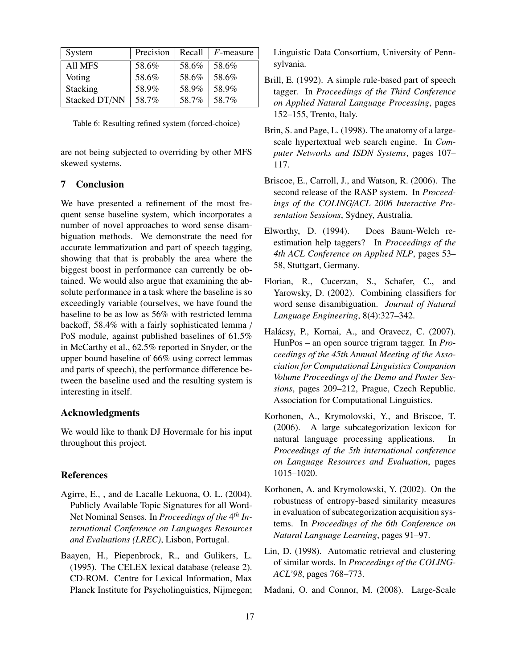| System         | Precision |       | Recall $\mid$ F-measure |
|----------------|-----------|-------|-------------------------|
| <b>All MFS</b> | 58.6%     | 58.6% | 58.6%                   |
| Voting         | 58.6%     | 58.6% | 58.6%                   |
| Stacking       | 58.9%     | 58.9% | 58.9%                   |
| Stacked DT/NN  | 58.7%     | 58.7% | 58.7%                   |

Table 6: Resulting refined system (forced-choice)

are not being subjected to overriding by other MFS skewed systems.

# 7 Conclusion

We have presented a refinement of the most frequent sense baseline system, which incorporates a number of novel approaches to word sense disambiguation methods. We demonstrate the need for accurate lemmatization and part of speech tagging, showing that that is probably the area where the biggest boost in performance can currently be obtained. We would also argue that examining the absolute performance in a task where the baseline is so exceedingly variable (ourselves, we have found the baseline to be as low as 56% with restricted lemma backoff, 58.4% with a fairly sophisticated lemma / PoS module, against published baselines of 61.5% in McCarthy et al., 62.5% reported in Snyder, or the upper bound baseline of 66% using correct lemmas and parts of speech), the performance difference between the baseline used and the resulting system is interesting in itself.

## Acknowledgments

We would like to thank DJ Hovermale for his input throughout this project.

#### References

- Agirre, E., , and de Lacalle Lekuona, O. L. (2004). Publicly Available Topic Signatures for all Word-Net Nominal Senses. In *Proceedings of the* 4 *th International Conference on Languages Resources and Evaluations (LREC)*, Lisbon, Portugal.
- Baayen, H., Piepenbrock, R., and Gulikers, L. (1995). The CELEX lexical database (release 2). CD-ROM. Centre for Lexical Information, Max Planck Institute for Psycholinguistics, Nijmegen;

Linguistic Data Consortium, University of Pennsylvania.

- Brill, E. (1992). A simple rule-based part of speech tagger. In *Proceedings of the Third Conference on Applied Natural Language Processing*, pages 152–155, Trento, Italy.
- Brin, S. and Page, L. (1998). The anatomy of a largescale hypertextual web search engine. In *Computer Networks and ISDN Systems*, pages 107– 117.
- Briscoe, E., Carroll, J., and Watson, R. (2006). The second release of the RASP system. In *Proceedings of the COLING*/*ACL 2006 Interactive Presentation Sessions*, Sydney, Australia.
- Elworthy, D. (1994). Does Baum-Welch reestimation help taggers? In *Proceedings of the 4th ACL Conference on Applied NLP*, pages 53– 58, Stuttgart, Germany.
- Florian, R., Cucerzan, S., Schafer, C., and Yarowsky, D. (2002). Combining classifiers for word sense disambiguation. *Journal of Natural Language Engineering*, 8(4):327–342.
- Halácsy, P., Kornai, A., and Oravecz, C. (2007). HunPos – an open source trigram tagger. In *Proceedings of the 45th Annual Meeting of the Association for Computational Linguistics Companion Volume Proceedings of the Demo and Poster Sessions*, pages 209–212, Prague, Czech Republic. Association for Computational Linguistics.
- Korhonen, A., Krymolovski, Y., and Briscoe, T. (2006). A large subcategorization lexicon for natural language processing applications. *Proceedings of the 5th international conference on Language Resources and Evaluation*, pages 1015–1020.
- Korhonen, A. and Krymolowski, Y. (2002). On the robustness of entropy-based similarity measures in evaluation of subcategorization acquisition systems. In *Proceedings of the 6th Conference on Natural Language Learning*, pages 91–97.
- Lin, D. (1998). Automatic retrieval and clustering of similar words. In *Proceedings of the COLING-ACL'98*, pages 768–773.

Madani, O. and Connor, M. (2008). Large-Scale